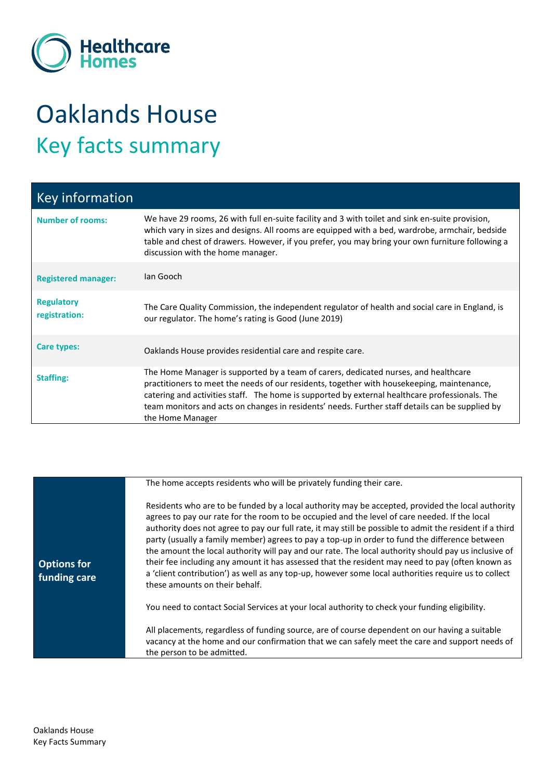

## Oaklands House Key facts summary

| Key information                    |                                                                                                                                                                                                                                                                                                                                                                                                            |
|------------------------------------|------------------------------------------------------------------------------------------------------------------------------------------------------------------------------------------------------------------------------------------------------------------------------------------------------------------------------------------------------------------------------------------------------------|
| <b>Number of rooms:</b>            | We have 29 rooms, 26 with full en-suite facility and 3 with toilet and sink en-suite provision,<br>which vary in sizes and designs. All rooms are equipped with a bed, wardrobe, armchair, bedside<br>table and chest of drawers. However, if you prefer, you may bring your own furniture following a<br>discussion with the home manager.                                                                |
| <b>Registered manager:</b>         | Ian Gooch                                                                                                                                                                                                                                                                                                                                                                                                  |
| <b>Regulatory</b><br>registration: | The Care Quality Commission, the independent regulator of health and social care in England, is<br>our regulator. The home's rating is Good (June 2019)                                                                                                                                                                                                                                                    |
| Care types:                        | Oaklands House provides residential care and respite care.                                                                                                                                                                                                                                                                                                                                                 |
| <b>Staffing:</b>                   | The Home Manager is supported by a team of carers, dedicated nurses, and healthcare<br>practitioners to meet the needs of our residents, together with housekeeping, maintenance,<br>catering and activities staff. The home is supported by external healthcare professionals. The<br>team monitors and acts on changes in residents' needs. Further staff details can be supplied by<br>the Home Manager |

|                                    | The home accepts residents who will be privately funding their care.                                                                                                                                                                                                                                                                                                                                                                                                                                                                                                                                                                                                                                                                                                   |
|------------------------------------|------------------------------------------------------------------------------------------------------------------------------------------------------------------------------------------------------------------------------------------------------------------------------------------------------------------------------------------------------------------------------------------------------------------------------------------------------------------------------------------------------------------------------------------------------------------------------------------------------------------------------------------------------------------------------------------------------------------------------------------------------------------------|
| <b>Options for</b><br>funding care | Residents who are to be funded by a local authority may be accepted, provided the local authority<br>agrees to pay our rate for the room to be occupied and the level of care needed. If the local<br>authority does not agree to pay our full rate, it may still be possible to admit the resident if a third<br>party (usually a family member) agrees to pay a top-up in order to fund the difference between<br>the amount the local authority will pay and our rate. The local authority should pay us inclusive of<br>their fee including any amount it has assessed that the resident may need to pay (often known as<br>a 'client contribution') as well as any top-up, however some local authorities require us to collect<br>these amounts on their behalf. |
|                                    | You need to contact Social Services at your local authority to check your funding eligibility.                                                                                                                                                                                                                                                                                                                                                                                                                                                                                                                                                                                                                                                                         |
|                                    | All placements, regardless of funding source, are of course dependent on our having a suitable<br>vacancy at the home and our confirmation that we can safely meet the care and support needs of<br>the person to be admitted.                                                                                                                                                                                                                                                                                                                                                                                                                                                                                                                                         |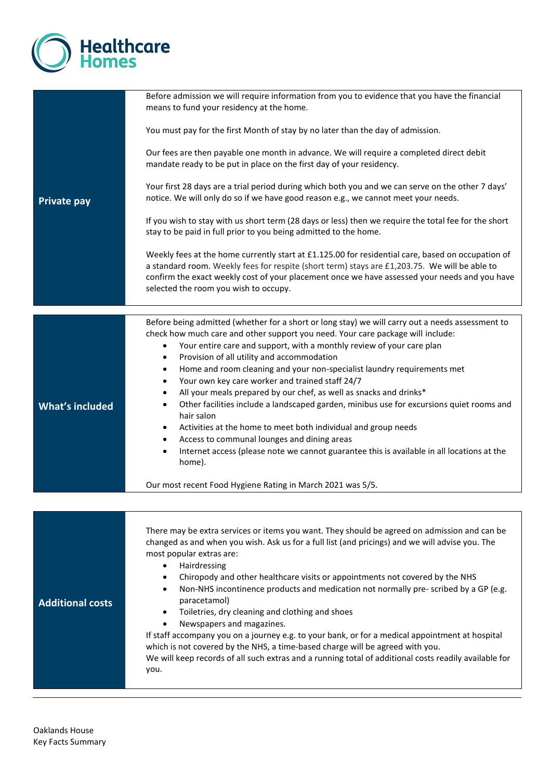

|                         | Before admission we will require information from you to evidence that you have the financial<br>means to fund your residency at the home.                                                                                                                                                                                                                                                                                                                                                                                                                                                                                                                                                                                                                                                                                        |
|-------------------------|-----------------------------------------------------------------------------------------------------------------------------------------------------------------------------------------------------------------------------------------------------------------------------------------------------------------------------------------------------------------------------------------------------------------------------------------------------------------------------------------------------------------------------------------------------------------------------------------------------------------------------------------------------------------------------------------------------------------------------------------------------------------------------------------------------------------------------------|
|                         | You must pay for the first Month of stay by no later than the day of admission.                                                                                                                                                                                                                                                                                                                                                                                                                                                                                                                                                                                                                                                                                                                                                   |
|                         | Our fees are then payable one month in advance. We will require a completed direct debit<br>mandate ready to be put in place on the first day of your residency.                                                                                                                                                                                                                                                                                                                                                                                                                                                                                                                                                                                                                                                                  |
| <b>Private pay</b>      | Your first 28 days are a trial period during which both you and we can serve on the other 7 days'<br>notice. We will only do so if we have good reason e.g., we cannot meet your needs.                                                                                                                                                                                                                                                                                                                                                                                                                                                                                                                                                                                                                                           |
|                         | If you wish to stay with us short term (28 days or less) then we require the total fee for the short<br>stay to be paid in full prior to you being admitted to the home.                                                                                                                                                                                                                                                                                                                                                                                                                                                                                                                                                                                                                                                          |
|                         | Weekly fees at the home currently start at £1.125.00 for residential care, based on occupation of<br>a standard room. Weekly fees for respite (short term) stays are £1,203.75. We will be able to<br>confirm the exact weekly cost of your placement once we have assessed your needs and you have<br>selected the room you wish to occupy.                                                                                                                                                                                                                                                                                                                                                                                                                                                                                      |
|                         |                                                                                                                                                                                                                                                                                                                                                                                                                                                                                                                                                                                                                                                                                                                                                                                                                                   |
| <b>What's included</b>  | Before being admitted (whether for a short or long stay) we will carry out a needs assessment to<br>check how much care and other support you need. Your care package will include:<br>Your entire care and support, with a monthly review of your care plan<br>$\bullet$<br>Provision of all utility and accommodation<br>$\bullet$<br>Home and room cleaning and your non-specialist laundry requirements met<br>٠<br>Your own key care worker and trained staff 24/7<br>$\bullet$<br>All your meals prepared by our chef, as well as snacks and drinks*<br>$\bullet$<br>Other facilities include a landscaped garden, minibus use for excursions quiet rooms and<br>$\bullet$<br>hair salon<br>Activities at the home to meet both individual and group needs<br>٠                                                             |
|                         | Access to communal lounges and dining areas<br>$\bullet$<br>Internet access (please note we cannot guarantee this is available in all locations at the<br>$\bullet$<br>home).                                                                                                                                                                                                                                                                                                                                                                                                                                                                                                                                                                                                                                                     |
|                         | Our most recent Food Hygiene Rating in March 2021 was 5/5.                                                                                                                                                                                                                                                                                                                                                                                                                                                                                                                                                                                                                                                                                                                                                                        |
|                         |                                                                                                                                                                                                                                                                                                                                                                                                                                                                                                                                                                                                                                                                                                                                                                                                                                   |
| <b>Additional costs</b> | There may be extra services or items you want. They should be agreed on admission and can be<br>changed as and when you wish. Ask us for a full list (and pricings) and we will advise you. The<br>most popular extras are:<br>Hairdressing<br>$\bullet$<br>Chiropody and other healthcare visits or appointments not covered by the NHS<br>٠<br>Non-NHS incontinence products and medication not normally pre-scribed by a GP (e.g.<br>paracetamol)<br>Toiletries, dry cleaning and clothing and shoes<br>Newspapers and magazines.<br>If staff accompany you on a journey e.g. to your bank, or for a medical appointment at hospital<br>which is not covered by the NHS, a time-based charge will be agreed with you.<br>We will keep records of all such extras and a running total of additional costs readily available for |
|                         | you.                                                                                                                                                                                                                                                                                                                                                                                                                                                                                                                                                                                                                                                                                                                                                                                                                              |